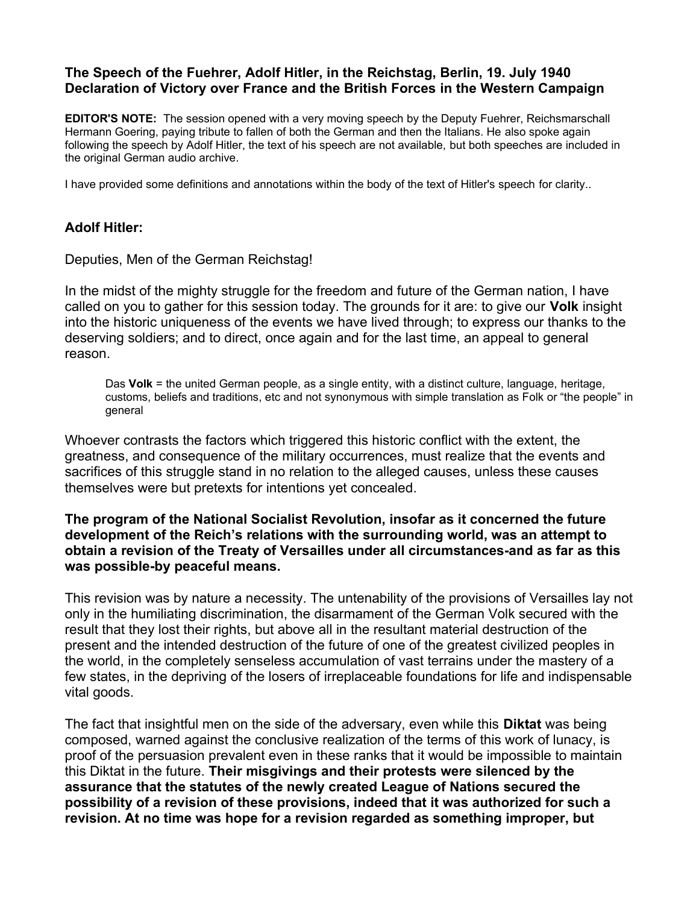#### **The Speech of the Fuehrer, Adolf Hitler, in the Reichstag, Berlin, 19. July 1940 Declaration of Victory over France and the British Forces in the Western Campaign**

**EDITOR'S NOTE:** The session opened with a very moving speech by the Deputy Fuehrer, Reichsmarschall Hermann Goering, paying tribute to fallen of both the German and then the Italians. He also spoke again following the speech by Adolf Hitler, the text of his speech are not available, but both speeches are included in the original German audio archive.

I have provided some definitions and annotations within the body of the text of Hitler's speech for clarity..

### **Adolf Hitler:**

Deputies, Men of the German Reichstag!

In the midst of the mighty struggle for the freedom and future of the German nation, I have called on you to gather for this session today. The grounds for it are: to give our **Volk** insight into the historic uniqueness of the events we have lived through; to express our thanks to the deserving soldiers; and to direct, once again and for the last time, an appeal to general reason.

Das **Volk** = the united German people, as a single entity, with a distinct culture, language, heritage, customs, beliefs and traditions, etc and not synonymous with simple translation as Folk or "the people" in general

Whoever contrasts the factors which triggered this historic conflict with the extent, the greatness, and consequence of the military occurrences, must realize that the events and sacrifices of this struggle stand in no relation to the alleged causes, unless these causes themselves were but pretexts for intentions yet concealed.

#### **The program of the National Socialist Revolution, insofar as it concerned the future development of the Reich's relations with the surrounding world, was an attempt to obtain a revision of the Treaty of Versailles under all circumstances-and as far as this was possible-by peaceful means.**

This revision was by nature a necessity. The untenability of the provisions of Versailles lay not only in the humiliating discrimination, the disarmament of the German Volk secured with the result that they lost their rights, but above all in the resultant material destruction of the present and the intended destruction of the future of one of the greatest civilized peoples in the world, in the completely senseless accumulation of vast terrains under the mastery of a few states, in the depriving of the losers of irreplaceable foundations for life and indispensable vital goods.

The fact that insightful men on the side of the adversary, even while this **Diktat** was being composed, warned against the conclusive realization of the terms of this work of lunacy, is proof of the persuasion prevalent even in these ranks that it would be impossible to maintain this Diktat in the future. **Their misgivings and their protests were silenced by the assurance that the statutes of the newly created League of Nations secured the possibility of a revision of these provisions, indeed that it was authorized for such a revision. At no time was hope for a revision regarded as something improper, but**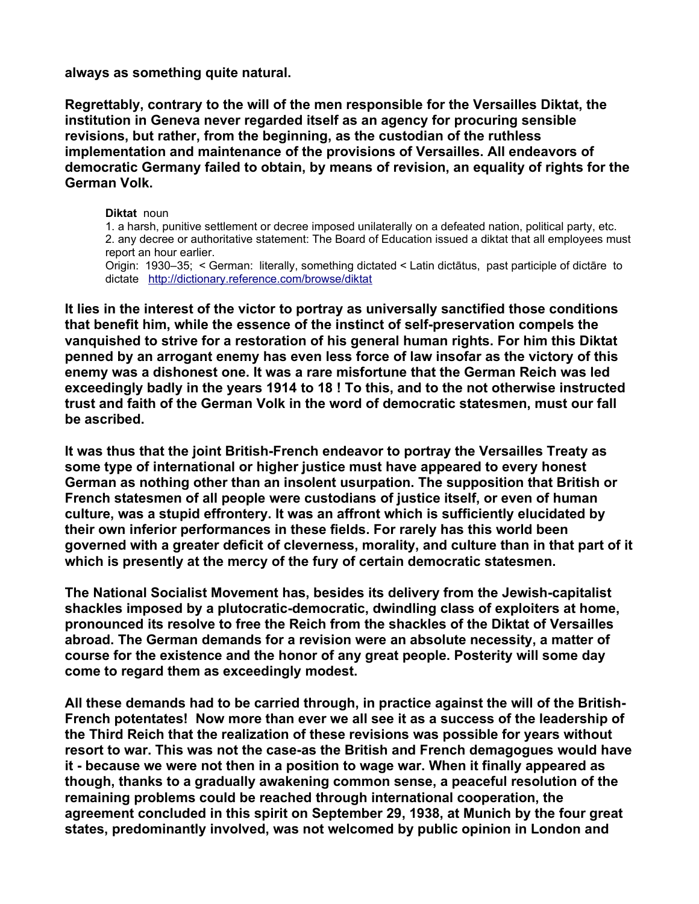#### **always as something quite natural.**

**Regrettably, contrary to the will of the men responsible for the Versailles Diktat, the institution in Geneva never regarded itself as an agency for procuring sensible revisions, but rather, from the beginning, as the custodian of the ruthless implementation and maintenance of the provisions of Versailles. All endeavors of democratic Germany failed to obtain, by means of revision, an equality of rights for the German Volk.**

#### **Diktat** noun

1. a harsh, punitive settlement or decree imposed unilaterally on a defeated nation, political party, etc. 2. any decree or authoritative statement: The Board of Education issued a diktat that all employees must report an hour earlier.

Origin: 1930–35; < German: literally, something dictated < Latin dictātus, past participle of dictāre to dictate <http://dictionary.reference.com/browse/diktat>

**It lies in the interest of the victor to portray as universally sanctified those conditions that benefit him, while the essence of the instinct of self-preservation compels the vanquished to strive for a restoration of his general human rights. For him this Diktat penned by an arrogant enemy has even less force of law insofar as the victory of this enemy was a dishonest one. It was a rare misfortune that the German Reich was led exceedingly badly in the years 1914 to 18 ! To this, and to the not otherwise instructed trust and faith of the German Volk in the word of democratic statesmen, must our fall be ascribed.**

**It was thus that the joint British-French endeavor to portray the Versailles Treaty as some type of international or higher justice must have appeared to every honest German as nothing other than an insolent usurpation. The supposition that British or French statesmen of all people were custodians of justice itself, or even of human culture, was a stupid effrontery. It was an affront which is sufficiently elucidated by their own inferior performances in these fields. For rarely has this world been governed with a greater deficit of cleverness, morality, and culture than in that part of it which is presently at the mercy of the fury of certain democratic statesmen.**

**The National Socialist Movement has, besides its delivery from the Jewish-capitalist shackles imposed by a plutocratic-democratic, dwindling class of exploiters at home, pronounced its resolve to free the Reich from the shackles of the Diktat of Versailles abroad. The German demands for a revision were an absolute necessity, a matter of course for the existence and the honor of any great people. Posterity will some day come to regard them as exceedingly modest.**

**All these demands had to be carried through, in practice against the will of the British-French potentates! Now more than ever we all see it as a success of the leadership of the Third Reich that the realization of these revisions was possible for years without resort to war. This was not the case-as the British and French demagogues would have it - because we were not then in a position to wage war. When it finally appeared as though, thanks to a gradually awakening common sense, a peaceful resolution of the remaining problems could be reached through international cooperation, the agreement concluded in this spirit on September 29, 1938, at Munich by the four great states, predominantly involved, was not welcomed by public opinion in London and**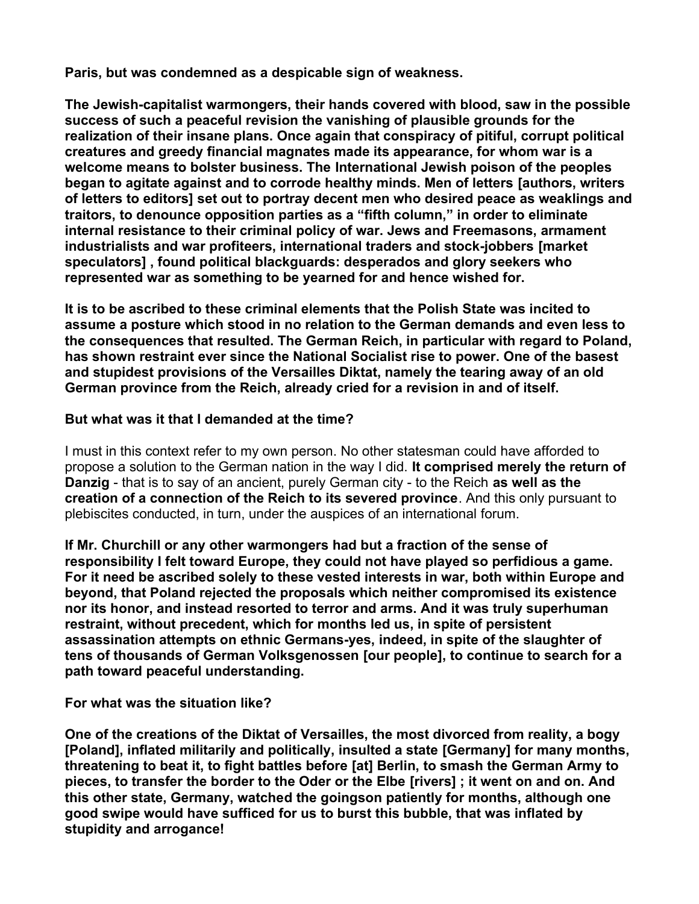**Paris, but was condemned as a despicable sign of weakness.** 

**The Jewish-capitalist warmongers, their hands covered with blood, saw in the possible success of such a peaceful revision the vanishing of plausible grounds for the realization of their insane plans. Once again that conspiracy of pitiful, corrupt political creatures and greedy financial magnates made its appearance, for whom war is a welcome means to bolster business. The International Jewish poison of the peoples began to agitate against and to corrode healthy minds. Men of letters [authors, writers of letters to editors] set out to portray decent men who desired peace as weaklings and traitors, to denounce opposition parties as a "fifth column," in order to eliminate internal resistance to their criminal policy of war. Jews and Freemasons, armament industrialists and war profiteers, international traders and stock-jobbers [market speculators] , found political blackguards: desperados and glory seekers who represented war as something to be yearned for and hence wished for.**

**It is to be ascribed to these criminal elements that the Polish State was incited to assume a posture which stood in no relation to the German demands and even less to the consequences that resulted. The German Reich, in particular with regard to Poland, has shown restraint ever since the National Socialist rise to power. One of the basest and stupidest provisions of the Versailles Diktat, namely the tearing away of an old German province from the Reich, already cried for a revision in and of itself.**

# **But what was it that I demanded at the time?**

I must in this context refer to my own person. No other statesman could have afforded to propose a solution to the German nation in the way I did. **It comprised merely the return of Danzig** - that is to say of an ancient, purely German city - to the Reich **as well as the creation of a connection of the Reich to its severed province**. And this only pursuant to plebiscites conducted, in turn, under the auspices of an international forum.

**If Mr. Churchill or any other warmongers had but a fraction of the sense of responsibility I felt toward Europe, they could not have played so perfidious a game. For it need be ascribed solely to these vested interests in war, both within Europe and beyond, that Poland rejected the proposals which neither compromised its existence nor its honor, and instead resorted to terror and arms. And it was truly superhuman restraint, without precedent, which for months led us, in spite of persistent assassination attempts on ethnic Germans-yes, indeed, in spite of the slaughter of tens of thousands of German Volksgenossen [our people], to continue to search for a path toward peaceful understanding.** 

**For what was the situation like?** 

**One of the creations of the Diktat of Versailles, the most divorced from reality, a bogy [Poland], inflated militarily and politically, insulted a state [Germany] for many months, threatening to beat it, to fight battles before [at] Berlin, to smash the German Army to pieces, to transfer the border to the Oder or the Elbe [rivers] ; it went on and on. And this other state, Germany, watched the goingson patiently for months, although one good swipe would have sufficed for us to burst this bubble, that was inflated by stupidity and arrogance!**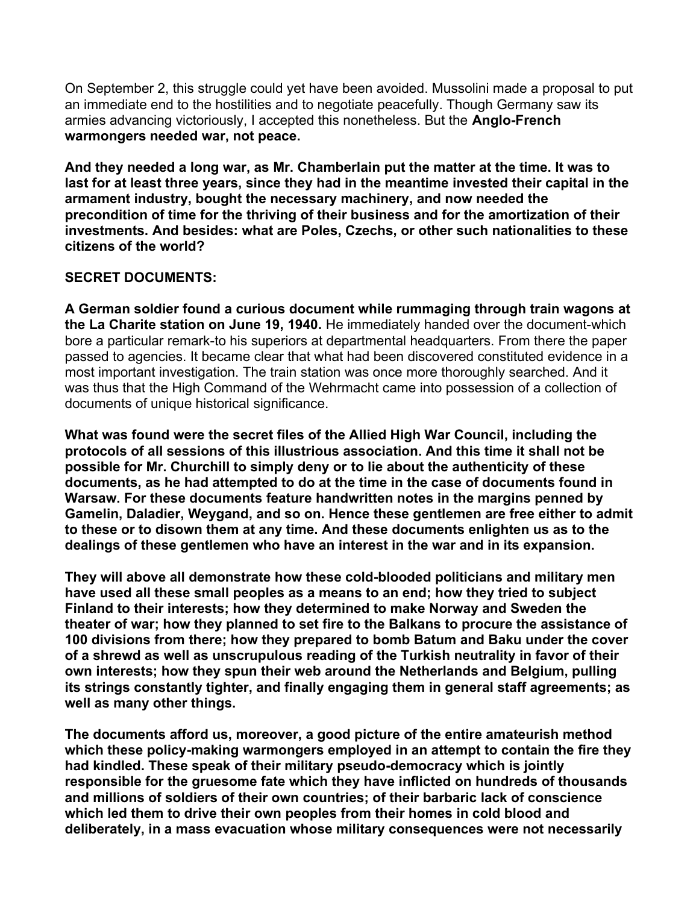On September 2, this struggle could yet have been avoided. Mussolini made a proposal to put an immediate end to the hostilities and to negotiate peacefully. Though Germany saw its armies advancing victoriously, I accepted this nonetheless. But the **Anglo-French warmongers needed war, not peace.**

**And they needed a long war, as Mr. Chamberlain put the matter at the time. It was to last for at least three years, since they had in the meantime invested their capital in the armament industry, bought the necessary machinery, and now needed the precondition of time for the thriving of their business and for the amortization of their investments. And besides: what are Poles, Czechs, or other such nationalities to these citizens of the world?** 

## **SECRET DOCUMENTS:**

**A German soldier found a curious document while rummaging through train wagons at the La Charite station on June 19, 1940.** He immediately handed over the document-which bore a particular remark-to his superiors at departmental headquarters. From there the paper passed to agencies. It became clear that what had been discovered constituted evidence in a most important investigation. The train station was once more thoroughly searched. And it was thus that the High Command of the Wehrmacht came into possession of a collection of documents of unique historical significance.

**What was found were the secret files of the Allied High War Council, including the protocols of all sessions of this illustrious association. And this time it shall not be possible for Mr. Churchill to simply deny or to lie about the authenticity of these documents, as he had attempted to do at the time in the case of documents found in Warsaw. For these documents feature handwritten notes in the margins penned by Gamelin, Daladier, Weygand, and so on. Hence these gentlemen are free either to admit to these or to disown them at any time. And these documents enlighten us as to the dealings of these gentlemen who have an interest in the war and in its expansion.** 

**They will above all demonstrate how these cold-blooded politicians and military men have used all these small peoples as a means to an end; how they tried to subject Finland to their interests; how they determined to make Norway and Sweden the theater of war; how they planned to set fire to the Balkans to procure the assistance of 100 divisions from there; how they prepared to bomb Batum and Baku under the cover of a shrewd as well as unscrupulous reading of the Turkish neutrality in favor of their own interests; how they spun their web around the Netherlands and Belgium, pulling its strings constantly tighter, and finally engaging them in general staff agreements; as well as many other things.**

**The documents afford us, moreover, a good picture of the entire amateurish method which these policy-making warmongers employed in an attempt to contain the fire they had kindled. These speak of their military pseudo-democracy which is jointly responsible for the gruesome fate which they have inflicted on hundreds of thousands and millions of soldiers of their own countries; of their barbaric lack of conscience which led them to drive their own peoples from their homes in cold blood and deliberately, in a mass evacuation whose military consequences were not necessarily**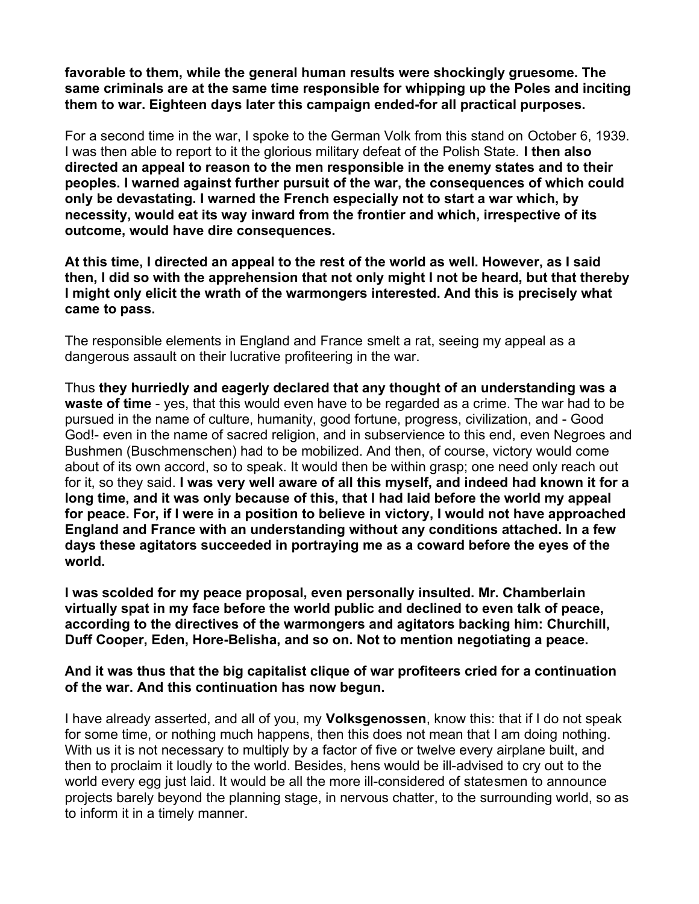**favorable to them, while the general human results were shockingly gruesome. The same criminals are at the same time responsible for whipping up the Poles and inciting them to war. Eighteen days later this campaign ended-for all practical purposes.**

For a second time in the war, I spoke to the German Volk from this stand on October 6, 1939. I was then able to report to it the glorious military defeat of the Polish State. **I then also directed an appeal to reason to the men responsible in the enemy states and to their peoples. I warned against further pursuit of the war, the consequences of which could only be devastating. I warned the French especially not to start a war which, by necessity, would eat its way inward from the frontier and which, irrespective of its outcome, would have dire consequences.**

**At this time, I directed an appeal to the rest of the world as well. However, as I said then, I did so with the apprehension that not only might I not be heard, but that thereby I might only elicit the wrath of the warmongers interested. And this is precisely what came to pass.**

The responsible elements in England and France smelt a rat, seeing my appeal as a dangerous assault on their lucrative profiteering in the war.

Thus **they hurriedly and eagerly declared that any thought of an understanding was a waste of time** - yes, that this would even have to be regarded as a crime. The war had to be pursued in the name of culture, humanity, good fortune, progress, civilization, and - Good God!- even in the name of sacred religion, and in subservience to this end, even Negroes and Bushmen (Buschmenschen) had to be mobilized. And then, of course, victory would come about of its own accord, so to speak. It would then be within grasp; one need only reach out for it, so they said. **I was very well aware of all this myself, and indeed had known it for a long time, and it was only because of this, that I had laid before the world my appeal for peace. For, if I were in a position to believe in victory, I would not have approached England and France with an understanding without any conditions attached. In a few days these agitators succeeded in portraying me as a coward before the eyes of the world.**

**I was scolded for my peace proposal, even personally insulted. Mr. Chamberlain virtually spat in my face before the world public and declined to even talk of peace, according to the directives of the warmongers and agitators backing him: Churchill, Duff Cooper, Eden, Hore-Belisha, and so on. Not to mention negotiating a peace.**

**And it was thus that the big capitalist clique of war profiteers cried for a continuation of the war. And this continuation has now begun.**

I have already asserted, and all of you, my **Volksgenossen**, know this: that if I do not speak for some time, or nothing much happens, then this does not mean that I am doing nothing. With us it is not necessary to multiply by a factor of five or twelve every airplane built, and then to proclaim it loudly to the world. Besides, hens would be ill-advised to cry out to the world every egg just laid. It would be all the more ill-considered of statesmen to announce projects barely beyond the planning stage, in nervous chatter, to the surrounding world, so as to inform it in a timely manner.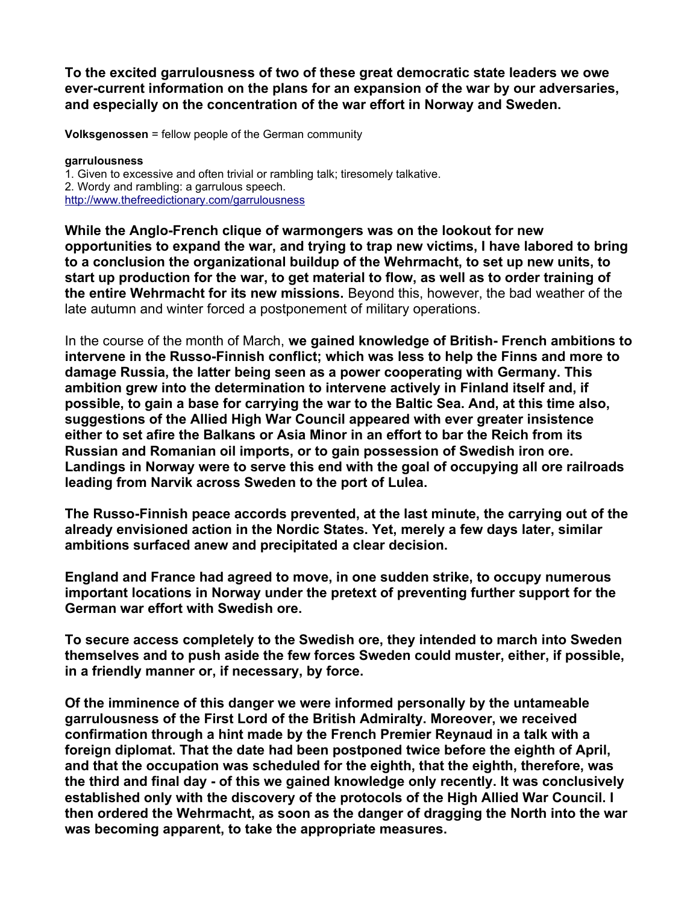**To the excited garrulousness of two of these great democratic state leaders we owe ever-current information on the plans for an expansion of the war by our adversaries, and especially on the concentration of the war effort in Norway and Sweden.**

**Volksgenossen** = fellow people of the German community

**garrulousness** 1. Given to excessive and often trivial or rambling talk; tiresomely talkative. 2. Wordy and rambling: a garrulous speech. <http://www.thefreedictionary.com/garrulousness>

**While the Anglo-French clique of warmongers was on the lookout for new opportunities to expand the war, and trying to trap new victims, I have labored to bring to a conclusion the organizational buildup of the Wehrmacht, to set up new units, to start up production for the war, to get material to flow, as well as to order training of the entire Wehrmacht for its new missions.** Beyond this, however, the bad weather of the late autumn and winter forced a postponement of military operations.

In the course of the month of March, **we gained knowledge of British- French ambitions to intervene in the Russo-Finnish conflict; which was less to help the Finns and more to damage Russia, the latter being seen as a power cooperating with Germany. This ambition grew into the determination to intervene actively in Finland itself and, if possible, to gain a base for carrying the war to the Baltic Sea. And, at this time also, suggestions of the Allied High War Council appeared with ever greater insistence either to set afire the Balkans or Asia Minor in an effort to bar the Reich from its Russian and Romanian oil imports, or to gain possession of Swedish iron ore. Landings in Norway were to serve this end with the goal of occupying all ore railroads leading from Narvik across Sweden to the port of Lulea.**

**The Russo-Finnish peace accords prevented, at the last minute, the carrying out of the already envisioned action in the Nordic States. Yet, merely a few days later, similar ambitions surfaced anew and precipitated a clear decision.**

**England and France had agreed to move, in one sudden strike, to occupy numerous important locations in Norway under the pretext of preventing further support for the German war effort with Swedish ore.**

**To secure access completely to the Swedish ore, they intended to march into Sweden themselves and to push aside the few forces Sweden could muster, either, if possible, in a friendly manner or, if necessary, by force.**

**Of the imminence of this danger we were informed personally by the untameable garrulousness of the First Lord of the British Admiralty. Moreover, we received confirmation through a hint made by the French Premier Reynaud in a talk with a foreign diplomat. That the date had been postponed twice before the eighth of April, and that the occupation was scheduled for the eighth, that the eighth, therefore, was the third and final day - of this we gained knowledge only recently. It was conclusively established only with the discovery of the protocols of the High Allied War Council. I then ordered the Wehrmacht, as soon as the danger of dragging the North into the war was becoming apparent, to take the appropriate measures.**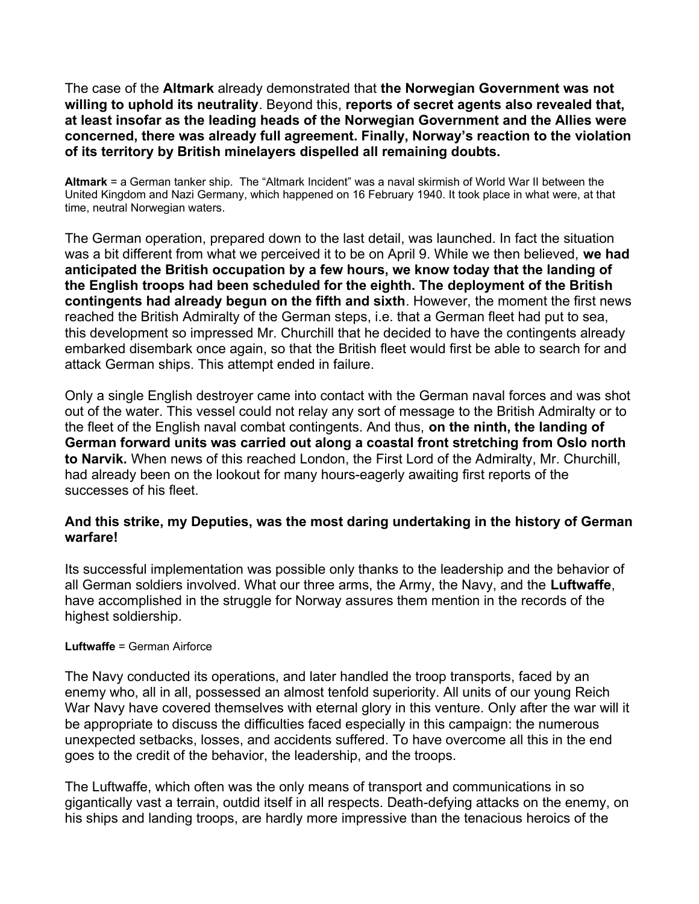The case of the **Altmark** already demonstrated that **the Norwegian Government was not willing to uphold its neutrality**. Beyond this, **reports of secret agents also revealed that, at least insofar as the leading heads of the Norwegian Government and the Allies were concerned, there was already full agreement. Finally, Norway's reaction to the violation of its territory by British minelayers dispelled all remaining doubts.**

**Altmark** = a German tanker ship. The "Altmark Incident" was a naval skirmish of World War II between the United Kingdom and Nazi Germany, which happened on 16 February 1940. It took place in what were, at that time, neutral Norwegian waters.

The German operation, prepared down to the last detail, was launched. In fact the situation was a bit different from what we perceived it to be on April 9. While we then believed, **we had anticipated the British occupation by a few hours, we know today that the landing of the English troops had been scheduled for the eighth. The deployment of the British contingents had already begun on the fifth and sixth**. However, the moment the first news reached the British Admiralty of the German steps, i.e. that a German fleet had put to sea, this development so impressed Mr. Churchill that he decided to have the contingents already embarked disembark once again, so that the British fleet would first be able to search for and attack German ships. This attempt ended in failure.

Only a single English destroyer came into contact with the German naval forces and was shot out of the water. This vessel could not relay any sort of message to the British Admiralty or to the fleet of the English naval combat contingents. And thus, **on the ninth, the landing of German forward units was carried out along a coastal front stretching from Oslo north to Narvik.** When news of this reached London, the First Lord of the Admiralty, Mr. Churchill, had already been on the lookout for many hours-eagerly awaiting first reports of the successes of his fleet.

## **And this strike, my Deputies, was the most daring undertaking in the history of German warfare!**

Its successful implementation was possible only thanks to the leadership and the behavior of all German soldiers involved. What our three arms, the Army, the Navy, and the **Luftwaffe**, have accomplished in the struggle for Norway assures them mention in the records of the highest soldiership.

#### **Luftwaffe** = German Airforce

The Navy conducted its operations, and later handled the troop transports, faced by an enemy who, all in all, possessed an almost tenfold superiority. All units of our young Reich War Navy have covered themselves with eternal glory in this venture. Only after the war will it be appropriate to discuss the difficulties faced especially in this campaign: the numerous unexpected setbacks, losses, and accidents suffered. To have overcome all this in the end goes to the credit of the behavior, the leadership, and the troops.

The Luftwaffe, which often was the only means of transport and communications in so gigantically vast a terrain, outdid itself in all respects. Death-defying attacks on the enemy, on his ships and landing troops, are hardly more impressive than the tenacious heroics of the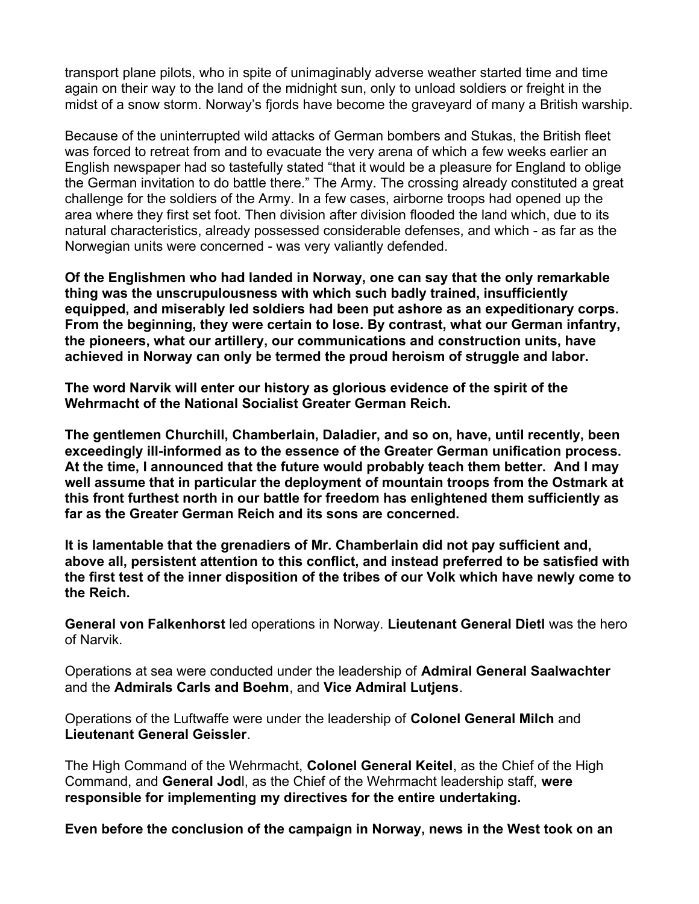transport plane pilots, who in spite of unimaginably adverse weather started time and time again on their way to the land of the midnight sun, only to unload soldiers or freight in the midst of a snow storm. Norway's fjords have become the graveyard of many a British warship.

Because of the uninterrupted wild attacks of German bombers and Stukas, the British fleet was forced to retreat from and to evacuate the very arena of which a few weeks earlier an English newspaper had so tastefully stated "that it would be a pleasure for England to oblige the German invitation to do battle there." The Army. The crossing already constituted a great challenge for the soldiers of the Army. In a few cases, airborne troops had opened up the area where they first set foot. Then division after division flooded the land which, due to its natural characteristics, already possessed considerable defenses, and which - as far as the Norwegian units were concerned - was very valiantly defended.

**Of the Englishmen who had landed in Norway, one can say that the only remarkable thing was the unscrupulousness with which such badly trained, insufficiently equipped, and miserably led soldiers had been put ashore as an expeditionary corps. From the beginning, they were certain to lose. By contrast, what our German infantry, the pioneers, what our artillery, our communications and construction units, have achieved in Norway can only be termed the proud heroism of struggle and labor.** 

**The word Narvik will enter our history as glorious evidence of the spirit of the Wehrmacht of the National Socialist Greater German Reich.**

**The gentlemen Churchill, Chamberlain, Daladier, and so on, have, until recently, been exceedingly ill-informed as to the essence of the Greater German unification process. At the time, I announced that the future would probably teach them better. And I may well assume that in particular the deployment of mountain troops from the Ostmark at this front furthest north in our battle for freedom has enlightened them sufficiently as far as the Greater German Reich and its sons are concerned.**

**It is lamentable that the grenadiers of Mr. Chamberlain did not pay sufficient and, above all, persistent attention to this conflict, and instead preferred to be satisfied with the first test of the inner disposition of the tribes of our Volk which have newly come to the Reich.**

**General von Falkenhorst** led operations in Norway. **Lieutenant General Dietl** was the hero of Narvik.

Operations at sea were conducted under the leadership of **Admiral General Saalwachter** and the **Admirals Carls and Boehm**, and **Vice Admiral Lutjens**.

Operations of the Luftwaffe were under the leadership of **Colonel General Milch** and **Lieutenant General Geissler**.

The High Command of the Wehrmacht, **Colonel General Keitel**, as the Chief of the High Command, and **General Jod**l, as the Chief of the Wehrmacht leadership staff, **were responsible for implementing my directives for the entire undertaking.**

**Even before the conclusion of the campaign in Norway, news in the West took on an**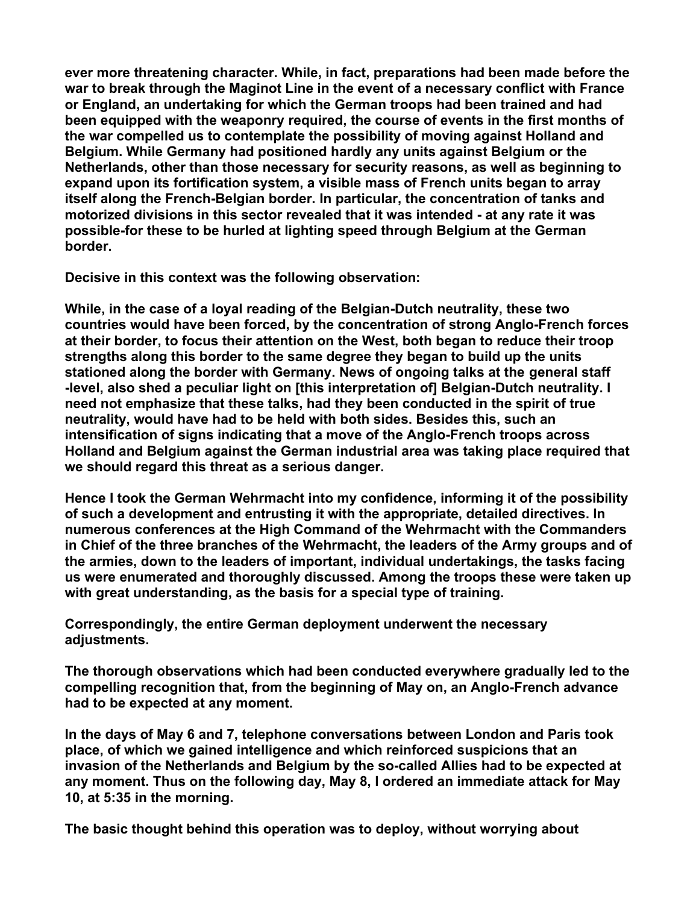**ever more threatening character. While, in fact, preparations had been made before the war to break through the Maginot Line in the event of a necessary conflict with France or England, an undertaking for which the German troops had been trained and had been equipped with the weaponry required, the course of events in the first months of the war compelled us to contemplate the possibility of moving against Holland and Belgium. While Germany had positioned hardly any units against Belgium or the Netherlands, other than those necessary for security reasons, as well as beginning to expand upon its fortification system, a visible mass of French units began to array itself along the French-Belgian border. In particular, the concentration of tanks and motorized divisions in this sector revealed that it was intended - at any rate it was possible-for these to be hurled at lighting speed through Belgium at the German border.**

**Decisive in this context was the following observation:** 

**While, in the case of a loyal reading of the Belgian-Dutch neutrality, these two countries would have been forced, by the concentration of strong Anglo-French forces at their border, to focus their attention on the West, both began to reduce their troop strengths along this border to the same degree they began to build up the units stationed along the border with Germany. News of ongoing talks at the general staff -level, also shed a peculiar light on [this interpretation of] Belgian-Dutch neutrality. I need not emphasize that these talks, had they been conducted in the spirit of true neutrality, would have had to be held with both sides. Besides this, such an intensification of signs indicating that a move of the Anglo-French troops across Holland and Belgium against the German industrial area was taking place required that we should regard this threat as a serious danger.**

**Hence I took the German Wehrmacht into my confidence, informing it of the possibility of such a development and entrusting it with the appropriate, detailed directives. In numerous conferences at the High Command of the Wehrmacht with the Commanders in Chief of the three branches of the Wehrmacht, the leaders of the Army groups and of the armies, down to the leaders of important, individual undertakings, the tasks facing us were enumerated and thoroughly discussed. Among the troops these were taken up with great understanding, as the basis for a special type of training.**

**Correspondingly, the entire German deployment underwent the necessary adjustments.** 

**The thorough observations which had been conducted everywhere gradually led to the compelling recognition that, from the beginning of May on, an Anglo-French advance had to be expected at any moment.**

**In the days of May 6 and 7, telephone conversations between London and Paris took place, of which we gained intelligence and which reinforced suspicions that an invasion of the Netherlands and Belgium by the so-called Allies had to be expected at any moment. Thus on the following day, May 8, I ordered an immediate attack for May 10, at 5:35 in the morning.**

**The basic thought behind this operation was to deploy, without worrying about**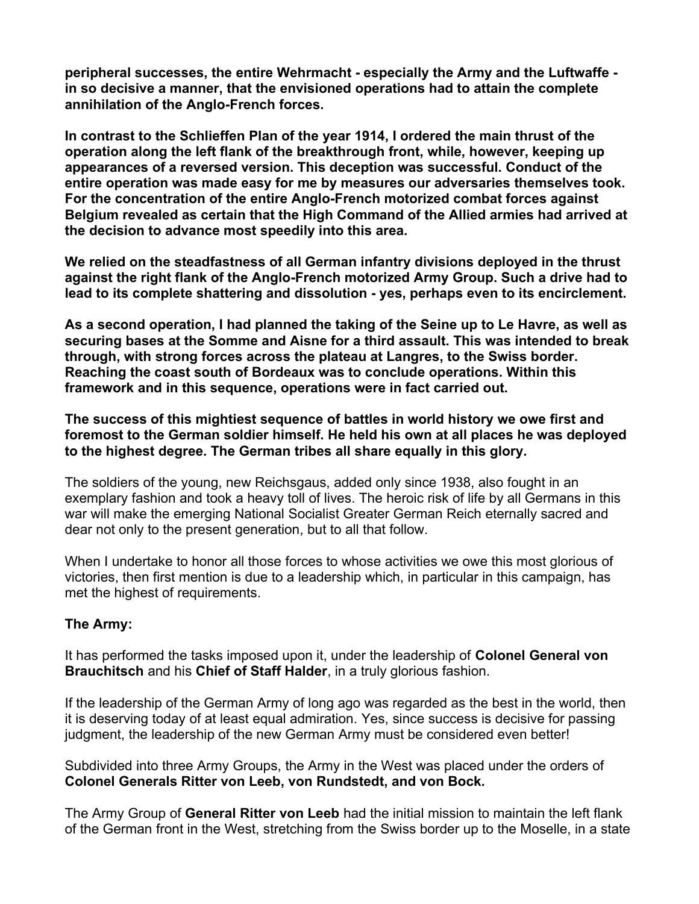**peripheral successes, the entire Wehrmacht - especially the Army and the Luftwaffe in so decisive a manner, that the envisioned operations had to attain the complete annihilation of the Anglo-French forces.**

**In contrast to the Schlieffen Plan of the year 1914, I ordered the main thrust of the operation along the left flank of the breakthrough front, while, however, keeping up appearances of a reversed version. This deception was successful. Conduct of the entire operation was made easy for me by measures our adversaries themselves took. For the concentration of the entire Anglo-French motorized combat forces against Belgium revealed as certain that the High Command of the Allied armies had arrived at the decision to advance most speedily into this area.**

**We relied on the steadfastness of all German infantry divisions deployed in the thrust against the right flank of the Anglo-French motorized Army Group. Such a drive had to lead to its complete shattering and dissolution - yes, perhaps even to its encirclement.**

**As a second operation, I had planned the taking of the Seine up to Le Havre, as well as securing bases at the Somme and Aisne for a third assault. This was intended to break through, with strong forces across the plateau at Langres, to the Swiss border. Reaching the coast south of Bordeaux was to conclude operations. Within this framework and in this sequence, operations were in fact carried out.**

**The success of this mightiest sequence of battles in world history we owe first and foremost to the German soldier himself. He held his own at all places he was deployed to the highest degree. The German tribes all share equally in this glory.**

The soldiers of the young, new Reichsgaus, added only since 1938, also fought in an exemplary fashion and took a heavy toll of lives. The heroic risk of life by all Germans in this war will make the emerging National Socialist Greater German Reich eternally sacred and dear not only to the present generation, but to all that follow.

When I undertake to honor all those forces to whose activities we owe this most glorious of victories, then first mention is due to a leadership which, in particular in this campaign, has met the highest of requirements.

# **The Army:**

It has performed the tasks imposed upon it, under the leadership of **Colonel General von Brauchitsch** and his **Chief of Staff Halder**, in a truly glorious fashion.

If the leadership of the German Army of long ago was regarded as the best in the world, then it is deserving today of at least equal admiration. Yes, since success is decisive for passing judgment, the leadership of the new German Army must be considered even better!

Subdivided into three Army Groups, the Army in the West was placed under the orders of **Colonel Generals Ritter von Leeb, von Rundstedt, and von Bock.**

The Army Group of **General Ritter von Leeb** had the initial mission to maintain the left flank of the German front in the West, stretching from the Swiss border up to the Moselle, in a state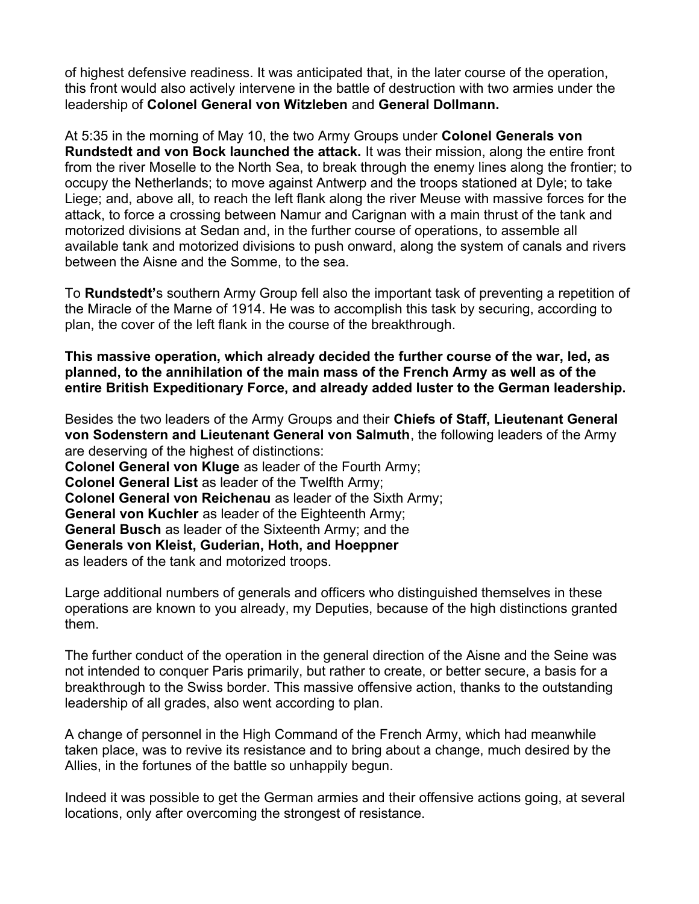of highest defensive readiness. It was anticipated that, in the later course of the operation, this front would also actively intervene in the battle of destruction with two armies under the leadership of **Colonel General von Witzleben** and **General Dollmann.**

At 5:35 in the morning of May 10, the two Army Groups under **Colonel Generals von Rundstedt and von Bock launched the attack.** It was their mission, along the entire front from the river Moselle to the North Sea, to break through the enemy lines along the frontier; to occupy the Netherlands; to move against Antwerp and the troops stationed at Dyle; to take Liege; and, above all, to reach the left flank along the river Meuse with massive forces for the attack, to force a crossing between Namur and Carignan with a main thrust of the tank and motorized divisions at Sedan and, in the further course of operations, to assemble all available tank and motorized divisions to push onward, along the system of canals and rivers between the Aisne and the Somme, to the sea.

To **Rundstedt'**s southern Army Group fell also the important task of preventing a repetition of the Miracle of the Marne of 1914. He was to accomplish this task by securing, according to plan, the cover of the left flank in the course of the breakthrough.

**This massive operation, which already decided the further course of the war, led, as planned, to the annihilation of the main mass of the French Army as well as of the entire British Expeditionary Force, and already added luster to the German leadership.**

Besides the two leaders of the Army Groups and their **Chiefs of Staff, Lieutenant General von Sodenstern and Lieutenant General von Salmuth**, the following leaders of the Army are deserving of the highest of distinctions:

**Colonel General von Kluge** as leader of the Fourth Army; **Colonel General List** as leader of the Twelfth Army; **Colonel General von Reichenau** as leader of the Sixth Army; **General von Kuchler** as leader of the Eighteenth Army; **General Busch** as leader of the Sixteenth Army; and the **Generals von Kleist, Guderian, Hoth, and Hoeppner**

as leaders of the tank and motorized troops.

Large additional numbers of generals and officers who distinguished themselves in these operations are known to you already, my Deputies, because of the high distinctions granted them.

The further conduct of the operation in the general direction of the Aisne and the Seine was not intended to conquer Paris primarily, but rather to create, or better secure, a basis for a breakthrough to the Swiss border. This massive offensive action, thanks to the outstanding leadership of all grades, also went according to plan.

A change of personnel in the High Command of the French Army, which had meanwhile taken place, was to revive its resistance and to bring about a change, much desired by the Allies, in the fortunes of the battle so unhappily begun.

Indeed it was possible to get the German armies and their offensive actions going, at several locations, only after overcoming the strongest of resistance.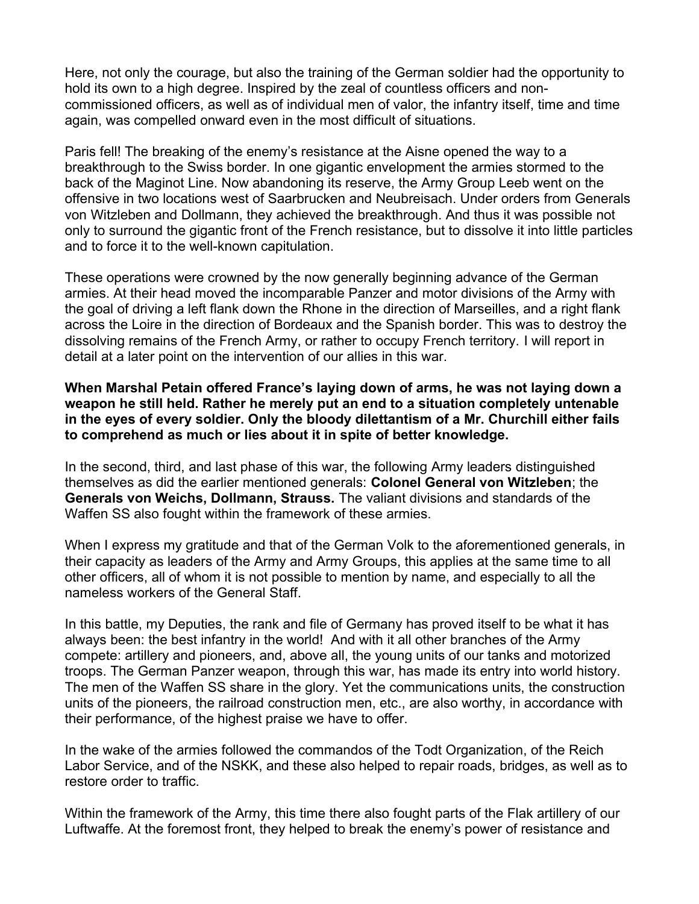Here, not only the courage, but also the training of the German soldier had the opportunity to hold its own to a high degree. Inspired by the zeal of countless officers and noncommissioned officers, as well as of individual men of valor, the infantry itself, time and time again, was compelled onward even in the most difficult of situations.

Paris fell! The breaking of the enemy's resistance at the Aisne opened the way to a breakthrough to the Swiss border. In one gigantic envelopment the armies stormed to the back of the Maginot Line. Now abandoning its reserve, the Army Group Leeb went on the offensive in two locations west of Saarbrucken and Neubreisach. Under orders from Generals von Witzleben and Dollmann, they achieved the breakthrough. And thus it was possible not only to surround the gigantic front of the French resistance, but to dissolve it into little particles and to force it to the well-known capitulation.

These operations were crowned by the now generally beginning advance of the German armies. At their head moved the incomparable Panzer and motor divisions of the Army with the goal of driving a left flank down the Rhone in the direction of Marseilles, and a right flank across the Loire in the direction of Bordeaux and the Spanish border. This was to destroy the dissolving remains of the French Army, or rather to occupy French territory. I will report in detail at a later point on the intervention of our allies in this war.

**When Marshal Petain offered France's laying down of arms, he was not laying down a weapon he still held. Rather he merely put an end to a situation completely untenable in the eyes of every soldier. Only the bloody dilettantism of a Mr. Churchill either fails to comprehend as much or lies about it in spite of better knowledge.**

In the second, third, and last phase of this war, the following Army leaders distinguished themselves as did the earlier mentioned generals: **Colonel General von Witzleben**; the **Generals von Weichs, Dollmann, Strauss.** The valiant divisions and standards of the Waffen SS also fought within the framework of these armies.

When I express my gratitude and that of the German Volk to the aforementioned generals, in their capacity as leaders of the Army and Army Groups, this applies at the same time to all other officers, all of whom it is not possible to mention by name, and especially to all the nameless workers of the General Staff.

In this battle, my Deputies, the rank and file of Germany has proved itself to be what it has always been: the best infantry in the world! And with it all other branches of the Army compete: artillery and pioneers, and, above all, the young units of our tanks and motorized troops. The German Panzer weapon, through this war, has made its entry into world history. The men of the Waffen SS share in the glory. Yet the communications units, the construction units of the pioneers, the railroad construction men, etc., are also worthy, in accordance with their performance, of the highest praise we have to offer.

In the wake of the armies followed the commandos of the Todt Organization, of the Reich Labor Service, and of the NSKK, and these also helped to repair roads, bridges, as well as to restore order to traffic.

Within the framework of the Army, this time there also fought parts of the Flak artillery of our Luftwaffe. At the foremost front, they helped to break the enemy's power of resistance and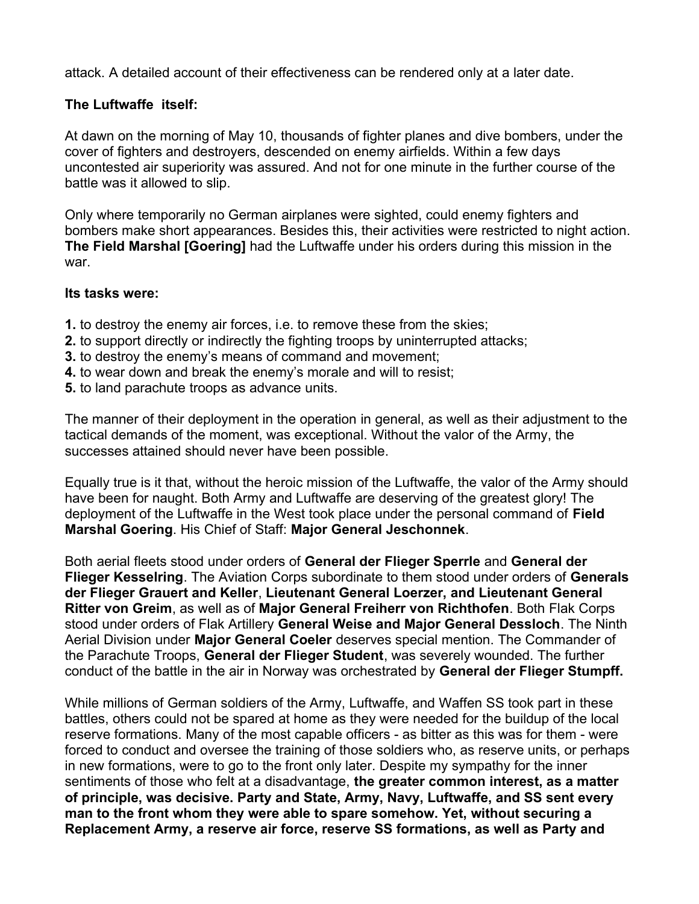attack. A detailed account of their effectiveness can be rendered only at a later date.

### **The Luftwaffe itself:**

At dawn on the morning of May 10, thousands of fighter planes and dive bombers, under the cover of fighters and destroyers, descended on enemy airfields. Within a few days uncontested air superiority was assured. And not for one minute in the further course of the battle was it allowed to slip.

Only where temporarily no German airplanes were sighted, could enemy fighters and bombers make short appearances. Besides this, their activities were restricted to night action. **The Field Marshal [Goering]** had the Luftwaffe under his orders during this mission in the war.

#### **Its tasks were:**

- **1.** to destroy the enemy air forces, i.e. to remove these from the skies;
- **2.** to support directly or indirectly the fighting troops by uninterrupted attacks;
- **3.** to destroy the enemy's means of command and movement;
- **4.** to wear down and break the enemy's morale and will to resist;
- **5.** to land parachute troops as advance units.

The manner of their deployment in the operation in general, as well as their adjustment to the tactical demands of the moment, was exceptional. Without the valor of the Army, the successes attained should never have been possible.

Equally true is it that, without the heroic mission of the Luftwaffe, the valor of the Army should have been for naught. Both Army and Luftwaffe are deserving of the greatest glory! The deployment of the Luftwaffe in the West took place under the personal command of **Field Marshal Goering**. His Chief of Staff: **Major General Jeschonnek**.

Both aerial fleets stood under orders of **General der Flieger Sperrle** and **General der Flieger Kesselring**. The Aviation Corps subordinate to them stood under orders of **Generals der Flieger Grauert and Keller**, **Lieutenant General Loerzer, and Lieutenant General Ritter von Greim**, as well as of **Major General Freiherr von Richthofen**. Both Flak Corps stood under orders of Flak Artillery **General Weise and Major General Dessloch**. The Ninth Aerial Division under **Major General Coeler** deserves special mention. The Commander of the Parachute Troops, **General der Flieger Student**, was severely wounded. The further conduct of the battle in the air in Norway was orchestrated by **General der Flieger Stumpff.**

While millions of German soldiers of the Army, Luftwaffe, and Waffen SS took part in these battles, others could not be spared at home as they were needed for the buildup of the local reserve formations. Many of the most capable officers - as bitter as this was for them - were forced to conduct and oversee the training of those soldiers who, as reserve units, or perhaps in new formations, were to go to the front only later. Despite my sympathy for the inner sentiments of those who felt at a disadvantage, **the greater common interest, as a matter of principle, was decisive. Party and State, Army, Navy, Luftwaffe, and SS sent every man to the front whom they were able to spare somehow. Yet, without securing a Replacement Army, a reserve air force, reserve SS formations, as well as Party and**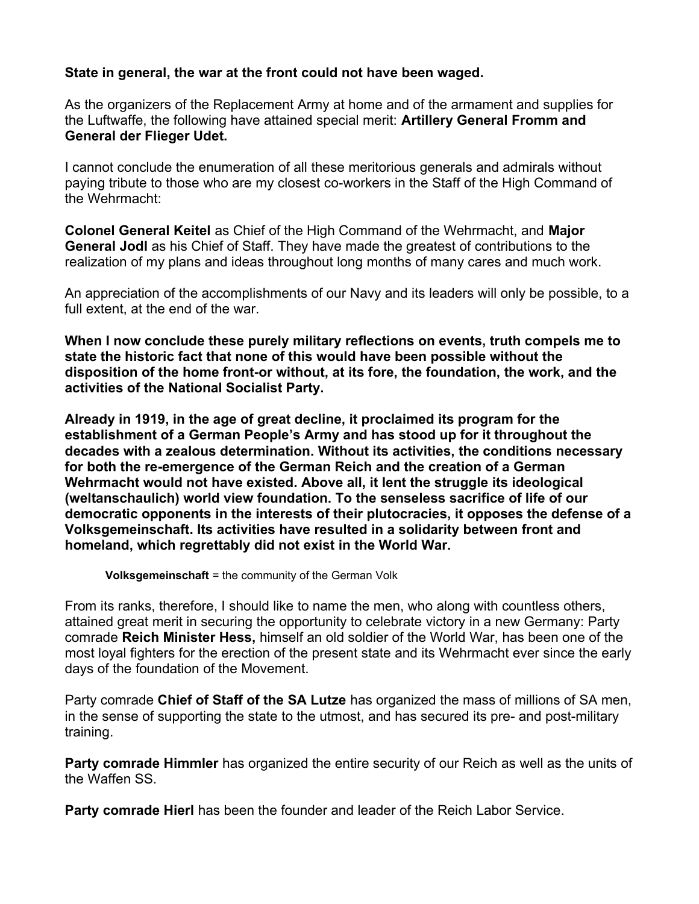## **State in general, the war at the front could not have been waged.**

As the organizers of the Replacement Army at home and of the armament and supplies for the Luftwaffe, the following have attained special merit: **Artillery General Fromm and General der Flieger Udet.**

I cannot conclude the enumeration of all these meritorious generals and admirals without paying tribute to those who are my closest co-workers in the Staff of the High Command of the Wehrmacht:

**Colonel General Keitel** as Chief of the High Command of the Wehrmacht, and **Major General Jodl** as his Chief of Staff. They have made the greatest of contributions to the realization of my plans and ideas throughout long months of many cares and much work.

An appreciation of the accomplishments of our Navy and its leaders will only be possible, to a full extent, at the end of the war.

**When I now conclude these purely military reflections on events, truth compels me to state the historic fact that none of this would have been possible without the disposition of the home front-or without, at its fore, the foundation, the work, and the activities of the National Socialist Party.**

**Already in 1919, in the age of great decline, it proclaimed its program for the establishment of a German People's Army and has stood up for it throughout the decades with a zealous determination. Without its activities, the conditions necessary for both the re-emergence of the German Reich and the creation of a German Wehrmacht would not have existed. Above all, it lent the struggle its ideological (weltanschaulich) world view foundation. To the senseless sacrifice of life of our democratic opponents in the interests of their plutocracies, it opposes the defense of a Volksgemeinschaft. Its activities have resulted in a solidarity between front and homeland, which regrettably did not exist in the World War.** 

**Volksgemeinschaft** = the community of the German Volk

From its ranks, therefore, I should like to name the men, who along with countless others, attained great merit in securing the opportunity to celebrate victory in a new Germany: Party comrade **Reich Minister Hess,** himself an old soldier of the World War, has been one of the most loyal fighters for the erection of the present state and its Wehrmacht ever since the early days of the foundation of the Movement.

Party comrade **Chief of Staff of the SA Lutze** has organized the mass of millions of SA men, in the sense of supporting the state to the utmost, and has secured its pre- and post-military training.

**Party comrade Himmler** has organized the entire security of our Reich as well as the units of the Waffen SS.

**Party comrade Hierl** has been the founder and leader of the Reich Labor Service.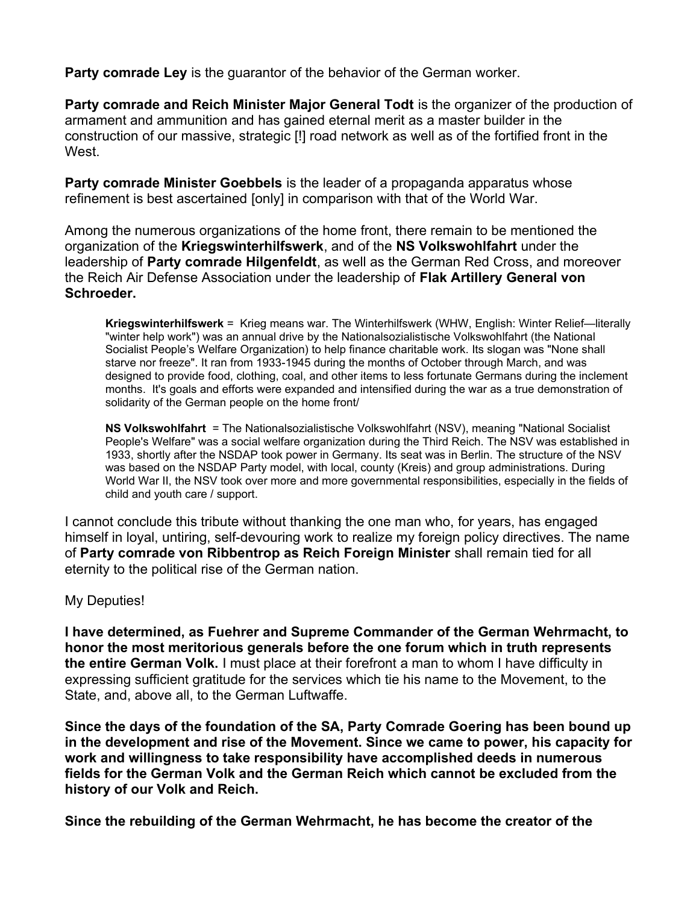**Party comrade Ley** is the guarantor of the behavior of the German worker.

**Party comrade and Reich Minister Major General Todt** is the organizer of the production of armament and ammunition and has gained eternal merit as a master builder in the construction of our massive, strategic [!] road network as well as of the fortified front in the West.

**Party comrade Minister Goebbels** is the leader of a propaganda apparatus whose refinement is best ascertained [only] in comparison with that of the World War.

Among the numerous organizations of the home front, there remain to be mentioned the organization of the **Kriegswinterhilfswerk**, and of the **NS Volkswohlfahrt** under the leadership of **Party comrade Hilgenfeldt**, as well as the German Red Cross, and moreover the Reich Air Defense Association under the leadership of **Flak Artillery General von Schroeder.**

**Kriegswinterhilfswerk** = Krieg means war. The Winterhilfswerk (WHW, English: Winter Relief—literally "winter help work") was an annual drive by the Nationalsozialistische Volkswohlfahrt (the National Socialist People's Welfare Organization) to help finance charitable work. Its slogan was "None shall starve nor freeze". It ran from 1933-1945 during the months of October through March, and was designed to provide food, clothing, coal, and other items to less fortunate Germans during the inclement months. It's goals and efforts were expanded and intensified during the war as a true demonstration of solidarity of the German people on the home front/

**NS Volkswohlfahrt** = The Nationalsozialistische Volkswohlfahrt (NSV), meaning "National Socialist People's Welfare" was a social welfare organization during the Third Reich. The NSV was established in 1933, shortly after the NSDAP took power in Germany. Its seat was in Berlin. The structure of the NSV was based on the NSDAP Party model, with local, county (Kreis) and group administrations. During World War II, the NSV took over more and more governmental responsibilities, especially in the fields of child and youth care / support.

I cannot conclude this tribute without thanking the one man who, for years, has engaged himself in loyal, untiring, self-devouring work to realize my foreign policy directives. The name of **Party comrade von Ribbentrop as Reich Foreign Minister** shall remain tied for all eternity to the political rise of the German nation.

My Deputies!

**I have determined, as Fuehrer and Supreme Commander of the German Wehrmacht, to honor the most meritorious generals before the one forum which in truth represents the entire German Volk.** I must place at their forefront a man to whom I have difficulty in expressing sufficient gratitude for the services which tie his name to the Movement, to the State, and, above all, to the German Luftwaffe.

**Since the days of the foundation of the SA, Party Comrade Goering has been bound up in the development and rise of the Movement. Since we came to power, his capacity for work and willingness to take responsibility have accomplished deeds in numerous fields for the German Volk and the German Reich which cannot be excluded from the history of our Volk and Reich.**

**Since the rebuilding of the German Wehrmacht, he has become the creator of the**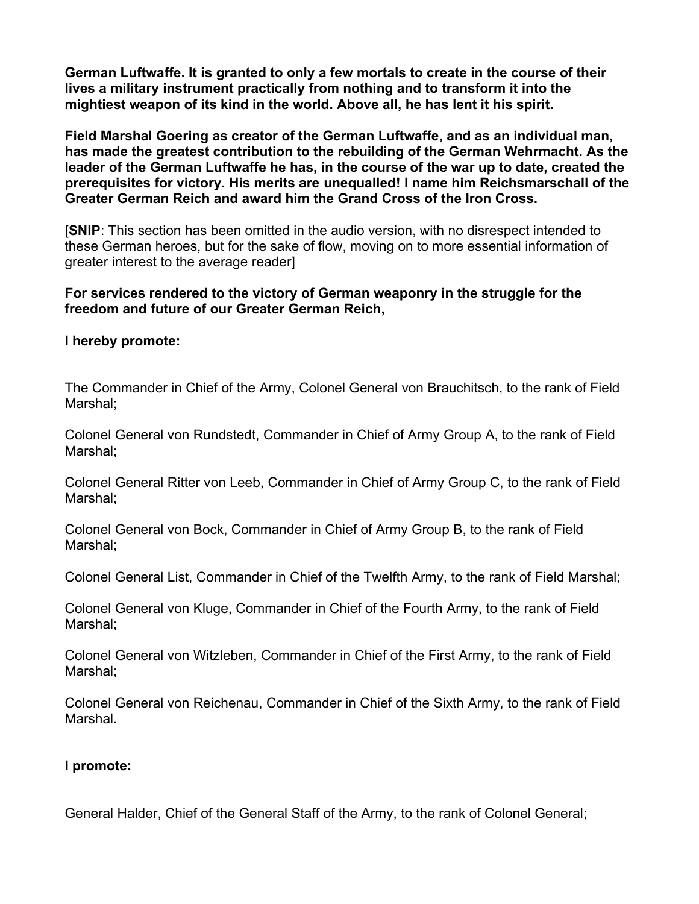**German Luftwaffe. It is granted to only a few mortals to create in the course of their lives a military instrument practically from nothing and to transform it into the mightiest weapon of its kind in the world. Above all, he has lent it his spirit.**

**Field Marshal Goering as creator of the German Luftwaffe, and as an individual man, has made the greatest contribution to the rebuilding of the German Wehrmacht. As the leader of the German Luftwaffe he has, in the course of the war up to date, created the prerequisites for victory. His merits are unequalled! I name him Reichsmarschall of the Greater German Reich and award him the Grand Cross of the Iron Cross.**

[**SNIP**: This section has been omitted in the audio version, with no disrespect intended to these German heroes, but for the sake of flow, moving on to more essential information of greater interest to the average reader]

**For services rendered to the victory of German weaponry in the struggle for the freedom and future of our Greater German Reich,** 

### **I hereby promote:**

The Commander in Chief of the Army, Colonel General von Brauchitsch, to the rank of Field Marshal;

Colonel General von Rundstedt, Commander in Chief of Army Group A, to the rank of Field Marshal;

Colonel General Ritter von Leeb, Commander in Chief of Army Group C, to the rank of Field Marshal;

Colonel General von Bock, Commander in Chief of Army Group B, to the rank of Field Marshal;

Colonel General List, Commander in Chief of the Twelfth Army, to the rank of Field Marshal;

Colonel General von Kluge, Commander in Chief of the Fourth Army, to the rank of Field Marshal;

Colonel General von Witzleben, Commander in Chief of the First Army, to the rank of Field Marshal;

Colonel General von Reichenau, Commander in Chief of the Sixth Army, to the rank of Field Marshal.

### **I promote:**

General Halder, Chief of the General Staff of the Army, to the rank of Colonel General;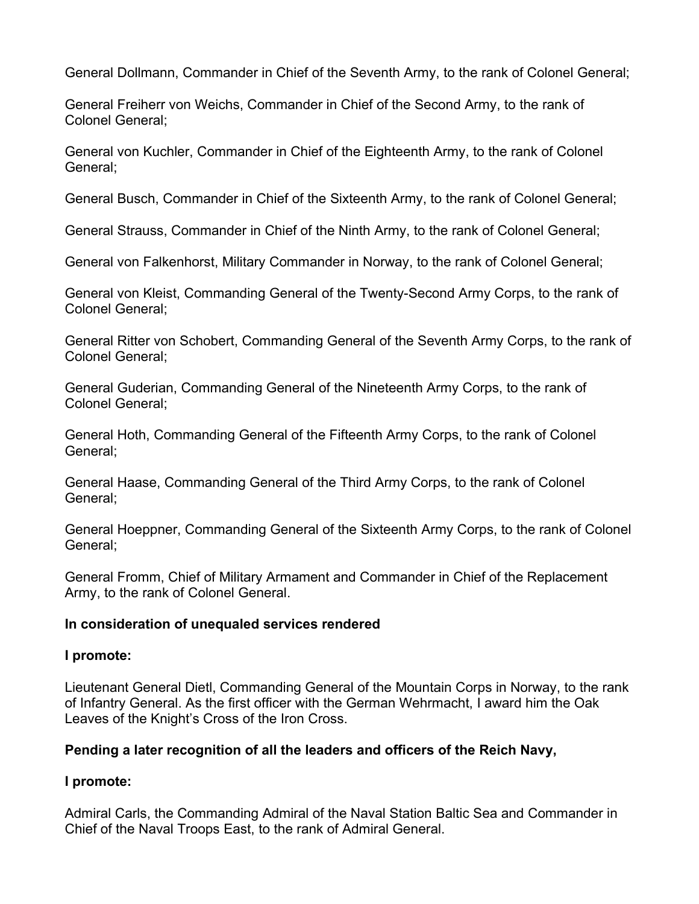General Dollmann, Commander in Chief of the Seventh Army, to the rank of Colonel General;

General Freiherr von Weichs, Commander in Chief of the Second Army, to the rank of Colonel General;

General von Kuchler, Commander in Chief of the Eighteenth Army, to the rank of Colonel General;

General Busch, Commander in Chief of the Sixteenth Army, to the rank of Colonel General;

General Strauss, Commander in Chief of the Ninth Army, to the rank of Colonel General;

General von Falkenhorst, Military Commander in Norway, to the rank of Colonel General;

General von Kleist, Commanding General of the Twenty-Second Army Corps, to the rank of Colonel General;

General Ritter von Schobert, Commanding General of the Seventh Army Corps, to the rank of Colonel General;

General Guderian, Commanding General of the Nineteenth Army Corps, to the rank of Colonel General;

General Hoth, Commanding General of the Fifteenth Army Corps, to the rank of Colonel General;

General Haase, Commanding General of the Third Army Corps, to the rank of Colonel General;

General Hoeppner, Commanding General of the Sixteenth Army Corps, to the rank of Colonel General;

General Fromm, Chief of Military Armament and Commander in Chief of the Replacement Army, to the rank of Colonel General.

# **In consideration of unequaled services rendered**

### **I promote:**

Lieutenant General Dietl, Commanding General of the Mountain Corps in Norway, to the rank of Infantry General. As the first officer with the German Wehrmacht, I award him the Oak Leaves of the Knight's Cross of the Iron Cross.

# **Pending a later recognition of all the leaders and officers of the Reich Navy,**

# **I promote:**

Admiral Carls, the Commanding Admiral of the Naval Station Baltic Sea and Commander in Chief of the Naval Troops East, to the rank of Admiral General.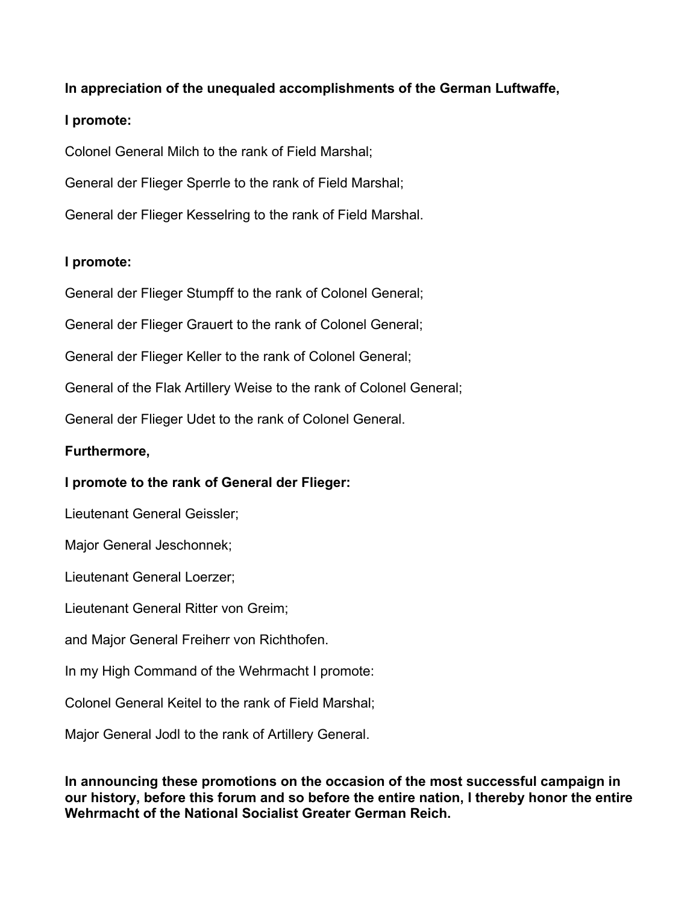**In appreciation of the unequaled accomplishments of the German Luftwaffe, I promote:**

Colonel General Milch to the rank of Field Marshal;

General der Flieger Sperrle to the rank of Field Marshal;

General der Flieger Kesselring to the rank of Field Marshal.

## **I promote:**

General der Flieger Stumpff to the rank of Colonel General;

General der Flieger Grauert to the rank of Colonel General;

General der Flieger Keller to the rank of Colonel General;

General of the Flak Artillery Weise to the rank of Colonel General;

General der Flieger Udet to the rank of Colonel General.

## **Furthermore,**

# **I promote to the rank of General der Flieger:**

Lieutenant General Geissler;

Major General Jeschonnek;

Lieutenant General Loerzer;

Lieutenant General Ritter von Greim;

and Major General Freiherr von Richthofen.

In my High Command of the Wehrmacht I promote:

Colonel General Keitel to the rank of Field Marshal;

Major General Jodl to the rank of Artillery General.

**In announcing these promotions on the occasion of the most successful campaign in our history, before this forum and so before the entire nation, I thereby honor the entire Wehrmacht of the National Socialist Greater German Reich.**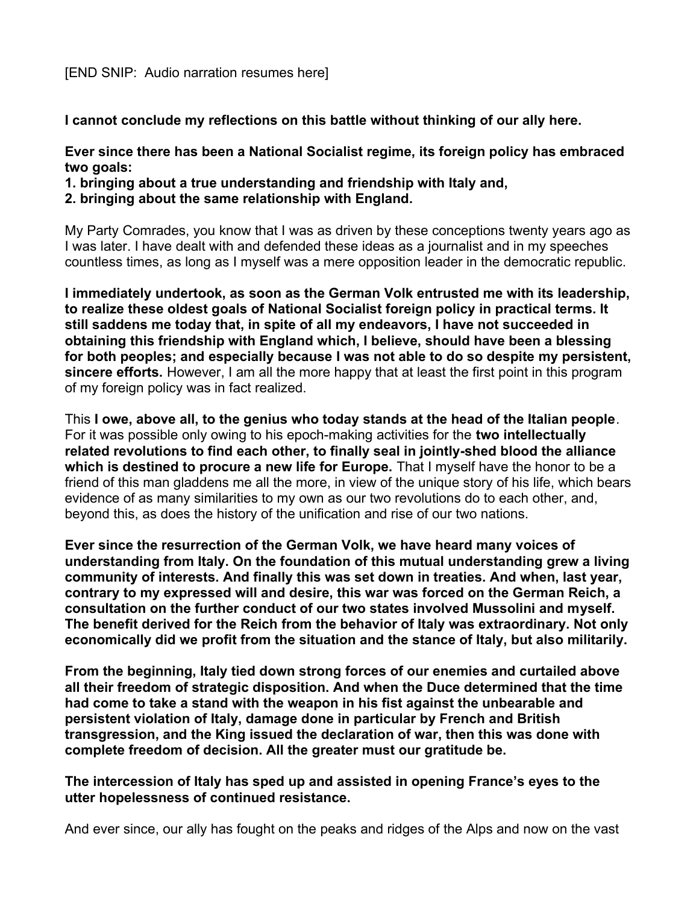**I cannot conclude my reflections on this battle without thinking of our ally here.**

**Ever since there has been a National Socialist regime, its foreign policy has embraced two goals:** 

- **1. bringing about a true understanding and friendship with Italy and,**
- **2. bringing about the same relationship with England.**

My Party Comrades, you know that I was as driven by these conceptions twenty years ago as I was later. I have dealt with and defended these ideas as a journalist and in my speeches countless times, as long as I myself was a mere opposition leader in the democratic republic.

**I immediately undertook, as soon as the German Volk entrusted me with its leadership, to realize these oldest goals of National Socialist foreign policy in practical terms. It still saddens me today that, in spite of all my endeavors, I have not succeeded in obtaining this friendship with England which, I believe, should have been a blessing for both peoples; and especially because I was not able to do so despite my persistent, sincere efforts.** However, I am all the more happy that at least the first point in this program of my foreign policy was in fact realized.

This **I owe, above all, to the genius who today stands at the head of the Italian people**. For it was possible only owing to his epoch-making activities for the **two intellectually related revolutions to find each other, to finally seal in jointly-shed blood the alliance which is destined to procure a new life for Europe.** That I myself have the honor to be a friend of this man gladdens me all the more, in view of the unique story of his life, which bears evidence of as many similarities to my own as our two revolutions do to each other, and, beyond this, as does the history of the unification and rise of our two nations.

**Ever since the resurrection of the German Volk, we have heard many voices of understanding from Italy. On the foundation of this mutual understanding grew a living community of interests. And finally this was set down in treaties. And when, last year, contrary to my expressed will and desire, this war was forced on the German Reich, a consultation on the further conduct of our two states involved Mussolini and myself. The benefit derived for the Reich from the behavior of Italy was extraordinary. Not only economically did we profit from the situation and the stance of Italy, but also militarily.**

**From the beginning, Italy tied down strong forces of our enemies and curtailed above all their freedom of strategic disposition. And when the Duce determined that the time had come to take a stand with the weapon in his fist against the unbearable and persistent violation of Italy, damage done in particular by French and British transgression, and the King issued the declaration of war, then this was done with complete freedom of decision. All the greater must our gratitude be.**

**The intercession of Italy has sped up and assisted in opening France's eyes to the utter hopelessness of continued resistance.**

And ever since, our ally has fought on the peaks and ridges of the Alps and now on the vast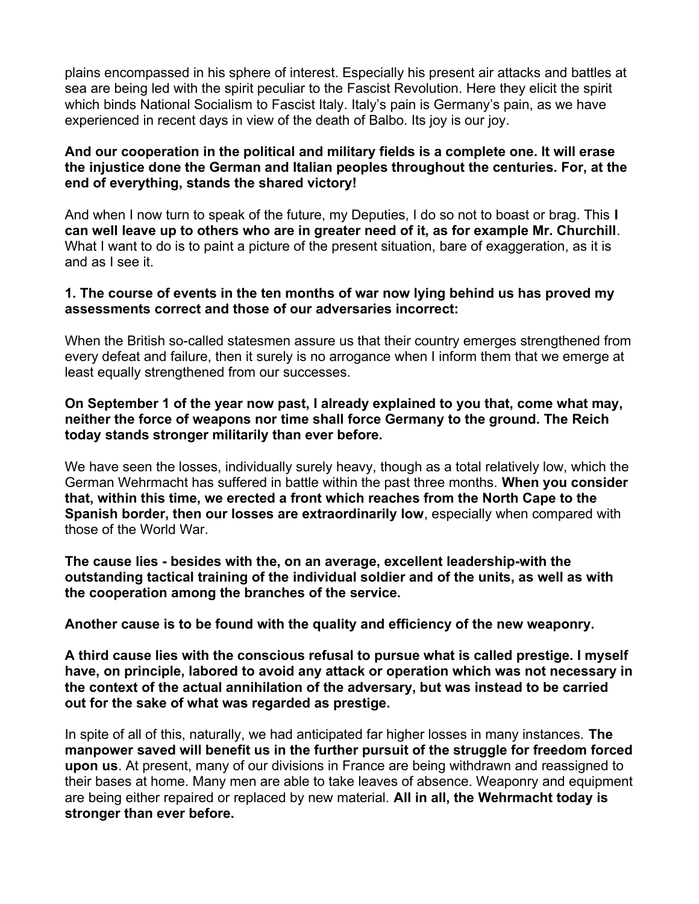plains encompassed in his sphere of interest. Especially his present air attacks and battles at sea are being led with the spirit peculiar to the Fascist Revolution. Here they elicit the spirit which binds National Socialism to Fascist Italy. Italy's pain is Germany's pain, as we have experienced in recent days in view of the death of Balbo. Its joy is our joy.

#### **And our cooperation in the political and military fields is a complete one. It will erase the injustice done the German and Italian peoples throughout the centuries. For, at the end of everything, stands the shared victory!**

And when I now turn to speak of the future, my Deputies, I do so not to boast or brag. This **I can well leave up to others who are in greater need of it, as for example Mr. Churchill**. What I want to do is to paint a picture of the present situation, bare of exaggeration, as it is and as I see it.

### **1. The course of events in the ten months of war now lying behind us has proved my assessments correct and those of our adversaries incorrect:**

When the British so-called statesmen assure us that their country emerges strengthened from every defeat and failure, then it surely is no arrogance when I inform them that we emerge at least equally strengthened from our successes.

## **On September 1 of the year now past, I already explained to you that, come what may, neither the force of weapons nor time shall force Germany to the ground. The Reich today stands stronger militarily than ever before.**

We have seen the losses, individually surely heavy, though as a total relatively low, which the German Wehrmacht has suffered in battle within the past three months. **When you consider that, within this time, we erected a front which reaches from the North Cape to the Spanish border, then our losses are extraordinarily low**, especially when compared with those of the World War.

**The cause lies - besides with the, on an average, excellent leadership-with the outstanding tactical training of the individual soldier and of the units, as well as with the cooperation among the branches of the service.**

**Another cause is to be found with the quality and efficiency of the new weaponry.** 

**A third cause lies with the conscious refusal to pursue what is called prestige. I myself have, on principle, labored to avoid any attack or operation which was not necessary in the context of the actual annihilation of the adversary, but was instead to be carried out for the sake of what was regarded as prestige.**

In spite of all of this, naturally, we had anticipated far higher losses in many instances. **The manpower saved will benefit us in the further pursuit of the struggle for freedom forced upon us**. At present, many of our divisions in France are being withdrawn and reassigned to their bases at home. Many men are able to take leaves of absence. Weaponry and equipment are being either repaired or replaced by new material. **All in all, the Wehrmacht today is stronger than ever before.**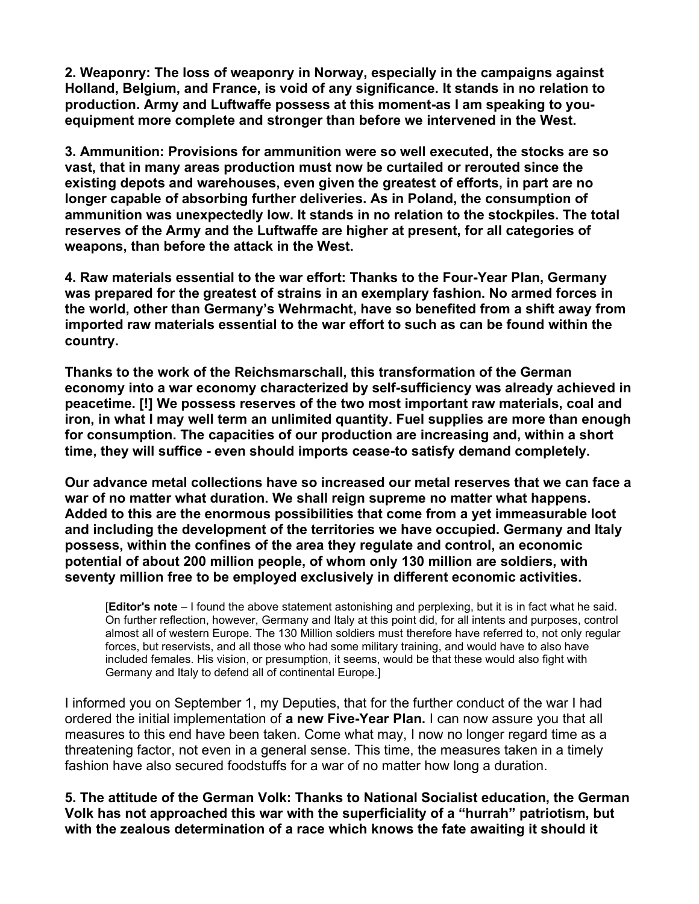**2. Weaponry: The loss of weaponry in Norway, especially in the campaigns against Holland, Belgium, and France, is void of any significance. It stands in no relation to production. Army and Luftwaffe possess at this moment-as I am speaking to youequipment more complete and stronger than before we intervened in the West.**

**3. Ammunition: Provisions for ammunition were so well executed, the stocks are so vast, that in many areas production must now be curtailed or rerouted since the existing depots and warehouses, even given the greatest of efforts, in part are no longer capable of absorbing further deliveries. As in Poland, the consumption of ammunition was unexpectedly low. It stands in no relation to the stockpiles. The total reserves of the Army and the Luftwaffe are higher at present, for all categories of weapons, than before the attack in the West.**

**4. Raw materials essential to the war effort: Thanks to the Four-Year Plan, Germany was prepared for the greatest of strains in an exemplary fashion. No armed forces in the world, other than Germany's Wehrmacht, have so benefited from a shift away from imported raw materials essential to the war effort to such as can be found within the country.**

**Thanks to the work of the Reichsmarschall, this transformation of the German economy into a war economy characterized by self-sufficiency was already achieved in peacetime. [!] We possess reserves of the two most important raw materials, coal and iron, in what I may well term an unlimited quantity. Fuel supplies are more than enough for consumption. The capacities of our production are increasing and, within a short time, they will suffice - even should imports cease-to satisfy demand completely.**

**Our advance metal collections have so increased our metal reserves that we can face a war of no matter what duration. We shall reign supreme no matter what happens. Added to this are the enormous possibilities that come from a yet immeasurable loot and including the development of the territories we have occupied. Germany and Italy possess, within the confines of the area they regulate and control, an economic potential of about 200 million people, of whom only 130 million are soldiers, with seventy million free to be employed exclusively in different economic activities.**

[**Editor's note** – I found the above statement astonishing and perplexing, but it is in fact what he said. On further reflection, however, Germany and Italy at this point did, for all intents and purposes, control almost all of western Europe. The 130 Million soldiers must therefore have referred to, not only regular forces, but reservists, and all those who had some military training, and would have to also have included females. His vision, or presumption, it seems, would be that these would also fight with Germany and Italy to defend all of continental Europe.]

I informed you on September 1, my Deputies, that for the further conduct of the war I had ordered the initial implementation of **a new Five-Year Plan.** I can now assure you that all measures to this end have been taken. Come what may, I now no longer regard time as a threatening factor, not even in a general sense. This time, the measures taken in a timely fashion have also secured foodstuffs for a war of no matter how long a duration.

**5. The attitude of the German Volk: Thanks to National Socialist education, the German Volk has not approached this war with the superficiality of a "hurrah" patriotism, but with the zealous determination of a race which knows the fate awaiting it should it**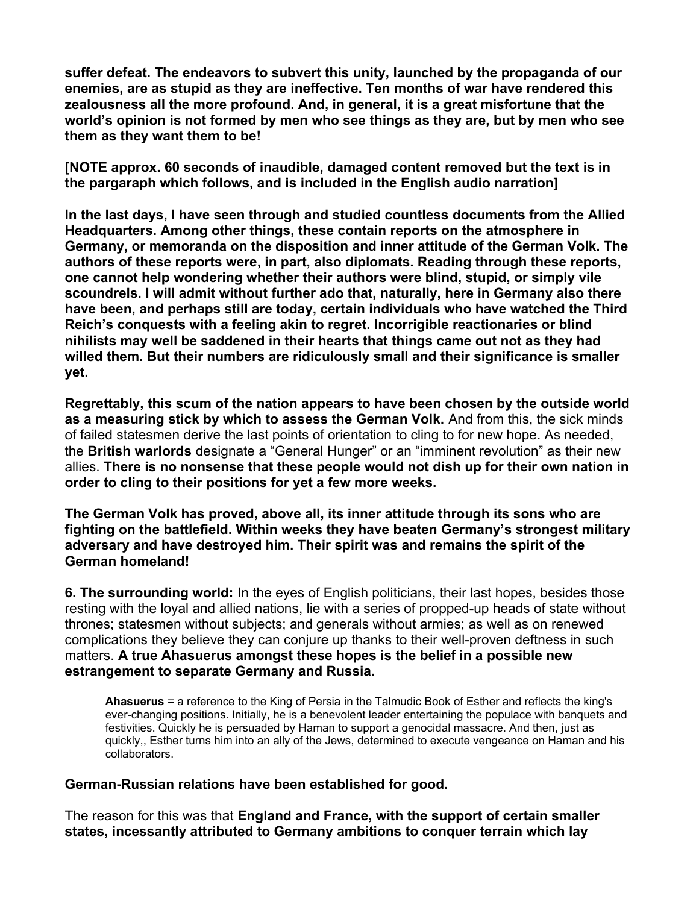**suffer defeat. The endeavors to subvert this unity, launched by the propaganda of our enemies, are as stupid as they are ineffective. Ten months of war have rendered this zealousness all the more profound. And, in general, it is a great misfortune that the world's opinion is not formed by men who see things as they are, but by men who see them as they want them to be!**

**[NOTE approx. 60 seconds of inaudible, damaged content removed but the text is in the pargaraph which follows, and is included in the English audio narration]**

**In the last days, I have seen through and studied countless documents from the Allied Headquarters. Among other things, these contain reports on the atmosphere in Germany, or memoranda on the disposition and inner attitude of the German Volk. The authors of these reports were, in part, also diplomats. Reading through these reports, one cannot help wondering whether their authors were blind, stupid, or simply vile scoundrels. I will admit without further ado that, naturally, here in Germany also there have been, and perhaps still are today, certain individuals who have watched the Third Reich's conquests with a feeling akin to regret. Incorrigible reactionaries or blind nihilists may well be saddened in their hearts that things came out not as they had willed them. But their numbers are ridiculously small and their significance is smaller yet.**

**Regrettably, this scum of the nation appears to have been chosen by the outside world as a measuring stick by which to assess the German Volk.** And from this, the sick minds of failed statesmen derive the last points of orientation to cling to for new hope. As needed, the **British warlords** designate a "General Hunger" or an "imminent revolution" as their new allies. **There is no nonsense that these people would not dish up for their own nation in order to cling to their positions for yet a few more weeks.**

**The German Volk has proved, above all, its inner attitude through its sons who are fighting on the battlefield. Within weeks they have beaten Germany's strongest military adversary and have destroyed him. Their spirit was and remains the spirit of the German homeland!**

**6. The surrounding world:** In the eyes of English politicians, their last hopes, besides those resting with the loyal and allied nations, lie with a series of propped-up heads of state without thrones; statesmen without subjects; and generals without armies; as well as on renewed complications they believe they can conjure up thanks to their well-proven deftness in such matters. **A true Ahasuerus amongst these hopes is the belief in a possible new estrangement to separate Germany and Russia.**

**Ahasuerus** = a reference to the King of Persia in the Talmudic Book of Esther and reflects the king's ever-changing positions. Initially, he is a benevolent leader entertaining the populace with banquets and festivities. Quickly he is persuaded by Haman to support a genocidal massacre. And then, just as quickly,, Esther turns him into an ally of the Jews, determined to execute vengeance on Haman and his collaborators.

### **German-Russian relations have been established for good.**

The reason for this was that **England and France, with the support of certain smaller states, incessantly attributed to Germany ambitions to conquer terrain which lay**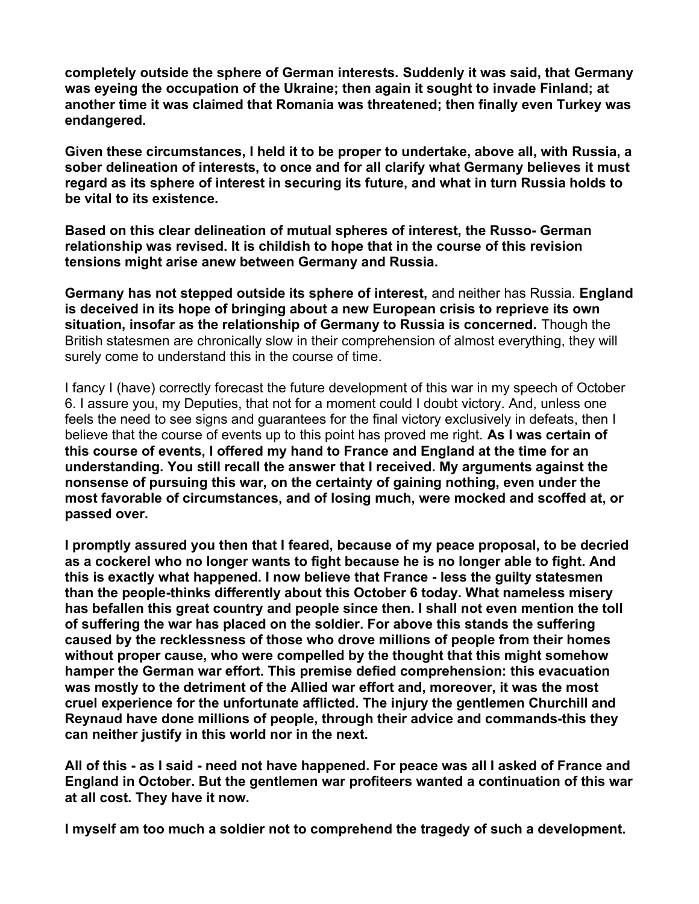**completely outside the sphere of German interests. Suddenly it was said, that Germany was eyeing the occupation of the Ukraine; then again it sought to invade Finland; at another time it was claimed that Romania was threatened; then finally even Turkey was endangered.** 

**Given these circumstances, I held it to be proper to undertake, above all, with Russia, a sober delineation of interests, to once and for all clarify what Germany believes it must regard as its sphere of interest in securing its future, and what in turn Russia holds to be vital to its existence.**

**Based on this clear delineation of mutual spheres of interest, the Russo- German relationship was revised. It is childish to hope that in the course of this revision tensions might arise anew between Germany and Russia.**

**Germany has not stepped outside its sphere of interest,** and neither has Russia. **England is deceived in its hope of bringing about a new European crisis to reprieve its own situation, insofar as the relationship of Germany to Russia is concerned.** Though the British statesmen are chronically slow in their comprehension of almost everything, they will surely come to understand this in the course of time.

I fancy I (have) correctly forecast the future development of this war in my speech of October 6. I assure you, my Deputies, that not for a moment could I doubt victory. And, unless one feels the need to see signs and guarantees for the final victory exclusively in defeats, then I believe that the course of events up to this point has proved me right. **As I was certain of this course of events, I offered my hand to France and England at the time for an understanding. You still recall the answer that I received. My arguments against the nonsense of pursuing this war, on the certainty of gaining nothing, even under the most favorable of circumstances, and of losing much, were mocked and scoffed at, or passed over.**

**I promptly assured you then that I feared, because of my peace proposal, to be decried as a cockerel who no longer wants to fight because he is no longer able to fight. And this is exactly what happened. I now believe that France - less the guilty statesmen than the people-thinks differently about this October 6 today. What nameless misery has befallen this great country and people since then. I shall not even mention the toll of suffering the war has placed on the soldier. For above this stands the suffering caused by the recklessness of those who drove millions of people from their homes without proper cause, who were compelled by the thought that this might somehow hamper the German war effort. This premise defied comprehension: this evacuation was mostly to the detriment of the Allied war effort and, moreover, it was the most cruel experience for the unfortunate afflicted. The injury the gentlemen Churchill and Reynaud have done millions of people, through their advice and commands-this they can neither justify in this world nor in the next.**

**All of this - as I said - need not have happened. For peace was all I asked of France and England in October. But the gentlemen war profiteers wanted a continuation of this war at all cost. They have it now.**

**I myself am too much a soldier not to comprehend the tragedy of such a development.**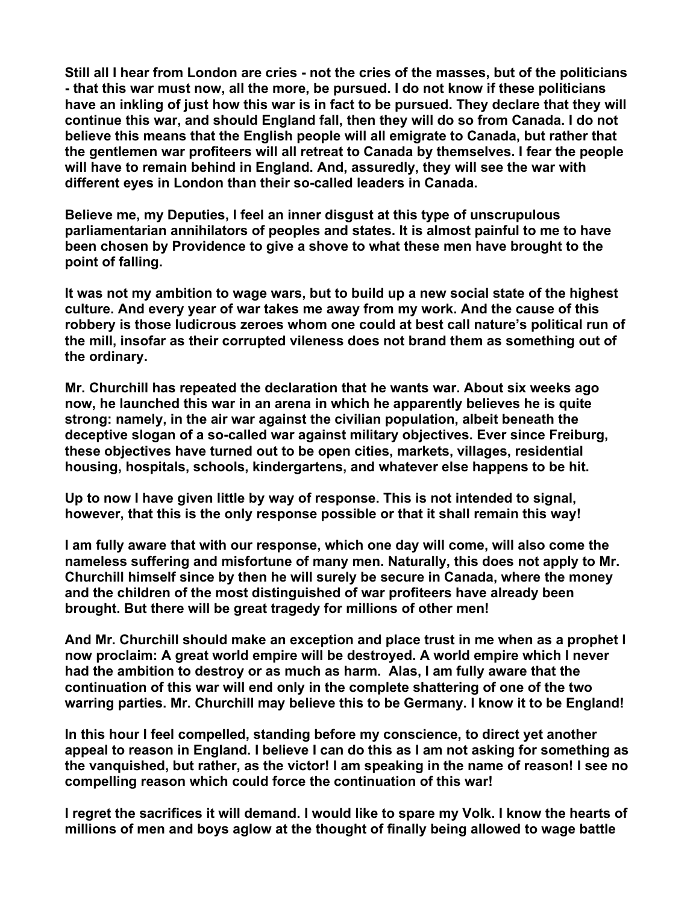**Still all I hear from London are cries - not the cries of the masses, but of the politicians - that this war must now, all the more, be pursued. I do not know if these politicians have an inkling of just how this war is in fact to be pursued. They declare that they will continue this war, and should England fall, then they will do so from Canada. I do not believe this means that the English people will all emigrate to Canada, but rather that the gentlemen war profiteers will all retreat to Canada by themselves. I fear the people will have to remain behind in England. And, assuredly, they will see the war with different eyes in London than their so-called leaders in Canada.**

**Believe me, my Deputies, I feel an inner disgust at this type of unscrupulous parliamentarian annihilators of peoples and states. It is almost painful to me to have been chosen by Providence to give a shove to what these men have brought to the point of falling.** 

**It was not my ambition to wage wars, but to build up a new social state of the highest culture. And every year of war takes me away from my work. And the cause of this robbery is those ludicrous zeroes whom one could at best call nature's political run of the mill, insofar as their corrupted vileness does not brand them as something out of the ordinary.**

**Mr. Churchill has repeated the declaration that he wants war. About six weeks ago now, he launched this war in an arena in which he apparently believes he is quite strong: namely, in the air war against the civilian population, albeit beneath the deceptive slogan of a so-called war against military objectives. Ever since Freiburg, these objectives have turned out to be open cities, markets, villages, residential housing, hospitals, schools, kindergartens, and whatever else happens to be hit.**

**Up to now I have given little by way of response. This is not intended to signal, however, that this is the only response possible or that it shall remain this way!**

**I am fully aware that with our response, which one day will come, will also come the nameless suffering and misfortune of many men. Naturally, this does not apply to Mr. Churchill himself since by then he will surely be secure in Canada, where the money and the children of the most distinguished of war profiteers have already been brought. But there will be great tragedy for millions of other men!** 

**And Mr. Churchill should make an exception and place trust in me when as a prophet I now proclaim: A great world empire will be destroyed. A world empire which I never had the ambition to destroy or as much as harm. Alas, I am fully aware that the continuation of this war will end only in the complete shattering of one of the two warring parties. Mr. Churchill may believe this to be Germany. I know it to be England!** 

**In this hour I feel compelled, standing before my conscience, to direct yet another appeal to reason in England. I believe I can do this as I am not asking for something as the vanquished, but rather, as the victor! I am speaking in the name of reason! I see no compelling reason which could force the continuation of this war!**

**I regret the sacrifices it will demand. I would like to spare my Volk. I know the hearts of millions of men and boys aglow at the thought of finally being allowed to wage battle**